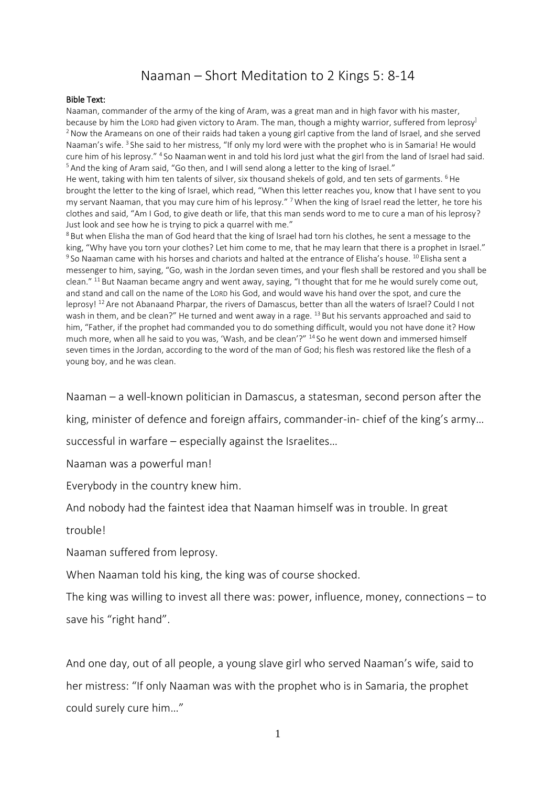## Naaman – Short Meditation to 2 Kings 5: 8-14

## Bible Text:

Naaman, commander of the army of the king of Aram, was a great man and in high favor with his master, because by him the LORD had given victory to Aram. The man, though a mighty warrior, suffered from leprosy<sup>1</sup> <sup>2</sup> Now the Arameans on one of their raids had taken a young girl captive from the land of Israel, and she served Naaman's wife.<sup>3</sup> She said to her mistress, "If only my lord were with the prophet who is in Samaria! He would cure him of his leprosy." <sup>4</sup> So Naaman went in and told his lord just what the girl from the land of Israel had said. <sup>5</sup> And the king of Aram said, "Go then, and I will send along a letter to the king of Israel."

He went, taking with him ten talents of silver, six thousand shekels of gold, and ten sets of garments. <sup>6</sup>He brought the letter to the king of Israel, which read, "When this letter reaches you, know that I have sent to you my servant Naaman, that you may cure him of his leprosy." <sup>7</sup> When the king of Israel read the letter, he tore his clothes and said, "Am I God, to give death or life, that this man sends word to me to cure a man of his leprosy? Just look and see how he is trying to pick a quarrel with me."

 $8$  But when Elisha the man of God heard that the king of Israel had torn his clothes, he sent a message to the king, "Why have you torn your clothes? Let him come to me, that he may learn that there is a prophet in Israel."  $^9$ So Naaman came with his horses and chariots and halted at the entrance of Elisha's house.  $^{10}$  Elisha sent a messenger to him, saying, "Go, wash in the Jordan seven times, and your flesh shall be restored and you shall be clean." <sup>11</sup> But Naaman became angry and went away, saying, "I thought that for me he would surely come out, and stand and call on the name of the LORD his God, and would wave his hand over the spot, and cure the leprosy! <sup>12</sup> Are not Abanaand Pharpar, the rivers of Damascus, better than all the waters of Israel? Could I not wash in them, and be clean?" He turned and went away in a rage. <sup>13</sup> But his servants approached and said to him, "Father, if the prophet had commanded you to do something difficult, would you not have done it? How much more, when all he said to you was, 'Wash, and be clean'?" <sup>14</sup> So he went down and immersed himself seven times in the Jordan, according to the word of the man of God; his flesh was restored like the flesh of a young boy, and he was clean.

Naaman – a well-known politician in Damascus, a statesman, second person after the

king, minister of defence and foreign affairs, commander-in- chief of the king's army…

successful in warfare – especially against the Israelites…

Naaman was a powerful man!

Everybody in the country knew him.

And nobody had the faintest idea that Naaman himself was in trouble. In great

trouble!

Naaman suffered from leprosy.

When Naaman told his king, the king was of course shocked.

The king was willing to invest all there was: power, influence, money, connections – to save his "right hand".

And one day, out of all people, a young slave girl who served Naaman's wife, said to her mistress: "If only Naaman was with the prophet who is in Samaria, the prophet could surely cure him…"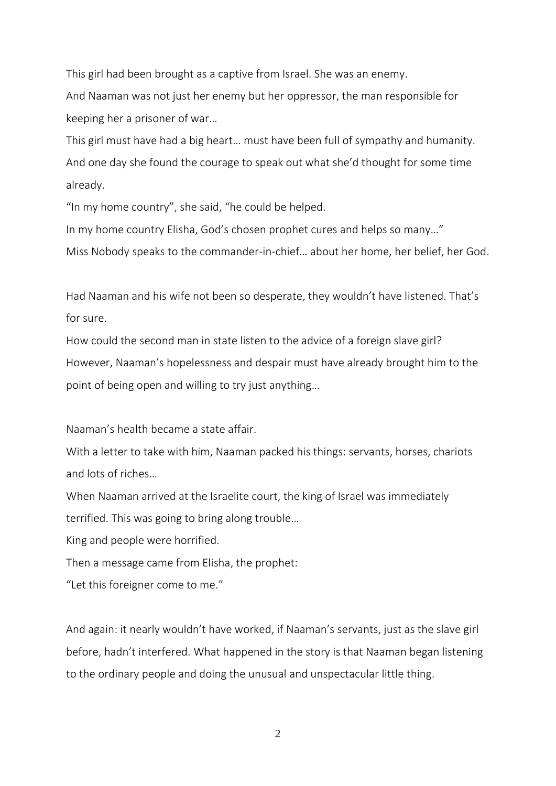This girl had been brought as a captive from Israel. She was an enemy.

And Naaman was not just her enemy but her oppressor, the man responsible for keeping her a prisoner of war…

This girl must have had a big heart… must have been full of sympathy and humanity. And one day she found the courage to speak out what she'd thought for some time already.

"In my home country", she said, "he could be helped.

In my home country Elisha, God's chosen prophet cures and helps so many…" Miss Nobody speaks to the commander-in-chief… about her home, her belief, her God.

Had Naaman and his wife not been so desperate, they wouldn't have listened. That's for sure.

How could the second man in state listen to the advice of a foreign slave girl? However, Naaman's hopelessness and despair must have already brought him to the point of being open and willing to try just anything…

Naaman's health became a state affair.

With a letter to take with him, Naaman packed his things: servants, horses, chariots and lots of riches…

When Naaman arrived at the Israelite court, the king of Israel was immediately terrified. This was going to bring along trouble…

King and people were horrified.

Then a message came from Elisha, the prophet:

"Let this foreigner come to me."

And again: it nearly wouldn't have worked, if Naaman's servants, just as the slave girl before, hadn't interfered. What happened in the story is that Naaman began listening to the ordinary people and doing the unusual and unspectacular little thing.